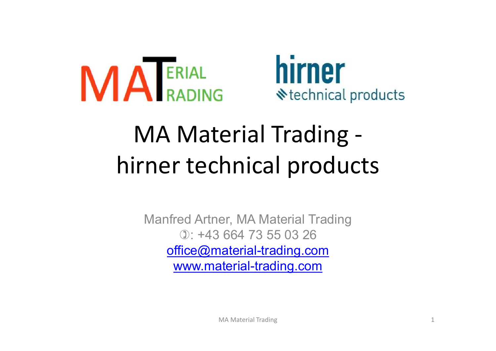



# MA Material Trading - **ALERIAL DIFFIER<br>
MA Material Trading -<br>
hirner technical products**

Manfred Artner, MA Material Trading ): +43 664 73 55 03 26 office@material-trading.com www.material-trading.com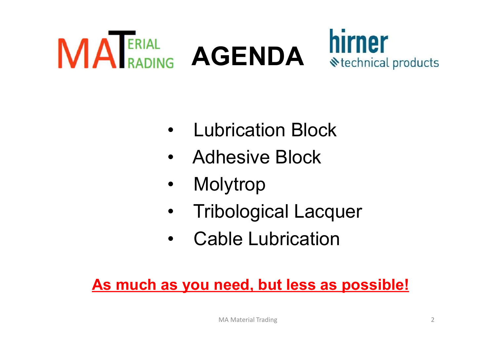

- 
- 
- 
- Lubrication Block<br>• Adhesive Block<br>• Molytrop<br>• Tribological Lacquer<br>• Cable Lubrication • Lubrication Block<br>• Adhesive Block<br>• Molytrop<br>• Tribological Lacquer<br>• Cable Lubrication
- 

# Adhesive Block<br>
• Molytrop<br>
• Tribological Lacquer<br>
• Cable Lubrication<br>
As much as you need, but less as possible!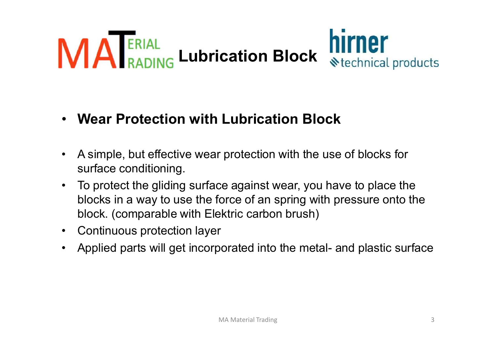

- 
- **EXECT SERVING LUDITICATION Block Wetchnical products**<br> **Wear Protection with Lubrication Block**<br>
A simple, but effective wear protection with the use of blocks for<br>
surface conditioning.<br>
To protect the gliding surface ag **Example 2018** We definited products<br>
Wear Protection with Lubrication Block<br>
A simple, but effective wear protection with the use of blocks for<br>
surface conditioning.<br>
To protect the gliding surface against wear, you have • Wear Protection with Lubrication Block<br>• A simple, but effective wear protection with the use of blocks<br>surface conditioning.<br>• To protect the gliding surface against wear, you have to plac<br>blocks in a way to use the for • Wear Protection with Lubrication Block<br>
• A simple, but effective wear protection with the use of blocks for<br>
surface conditioning.<br>
• To protect the gliding surface against wear, you have to place the<br>
blocks in a way t
- 
-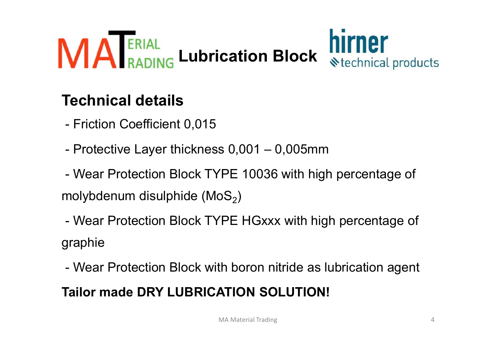

# Technical details

- 
- 
- **MALANG Lubrication Block Weechnical (MOSE)**<br> **Technical details**<br>
 Friction Coefficient 0,015<br>
 Protective Layer thickness 0,001 0,005mm<br>
 Wear Protection Block TYPE 10036 with high percentag<br>
 Wear Protection Block  $)$ **Fechnical details**<br>- Friction Coefficient 0,015<br>- Protective Layer thickness 0,001 – 0,005mm<br>- Wear Protection Block TYPE 10036 with high percentage of<br>nolybdenum disulphide (MoS<sub>2</sub>)<br>- Wear Protection Block TYPE HGxxx wit - Friction Coefficient 0,015<br>- Protective Layer thickness 0,001 – 0,005mm<br>- Wear Protection Block TYPE 10036 with high percentage of<br>molybdenum disulphide (MoS<sub>2</sub>)<br>- Wear Protection Block TYPE HGxxx with high percentage of - Protective Layer thickness  $0,001 - 0,005$ mm<br>
- Wear Protection Block TYPE 10036 with high percentag<br>
molybdenum disulphide (MoS<sub>2</sub>)<br>
- Wear Protection Block TYPE HGxxx with high percenta<br>
graphie<br>
- Wear Protection Bloc
- graphie
-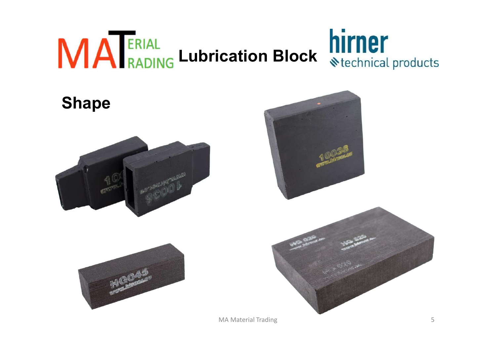

# Shape







MA Material Trading 5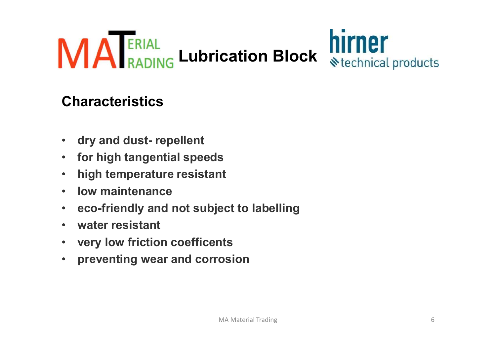

## Characteristics

- 
- 
- 
- 
- eco-friendly and not subject to labelling Characteristics<br>• dry and dust- repellent<br>• for high tangential speeds<br>• high temperature resistant<br>• low maintenance<br>• eco-friendly and not subject to labelling<br>• water resistant<br>• very low friction coefficents<br>• preventi Characteristics<br>• dry and dust- repellent<br>• for high tangential speeds<br>• high temperature resistant<br>• low maintenance<br>• eco-friendly and not subject to labelling<br>• water resistant<br>• very low friction coefficents<br>• preventi • dry and dust- repellent<br>• for high tangential speeds<br>• high temperature resistant<br>• low maintenance<br>• eco-friendly and not subject to labelling<br>• water resistant<br>• very low friction coefficents<br>• preventing wear and corr
- 
- 
-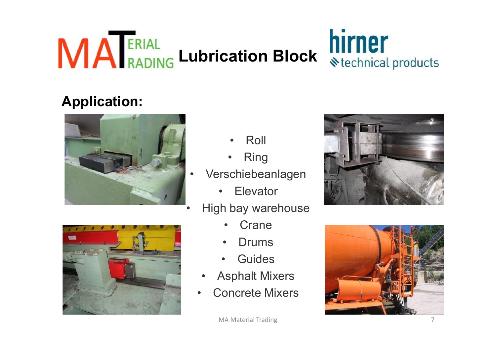

# Application:



- 
- -
- -
	-
	-
	-
	-





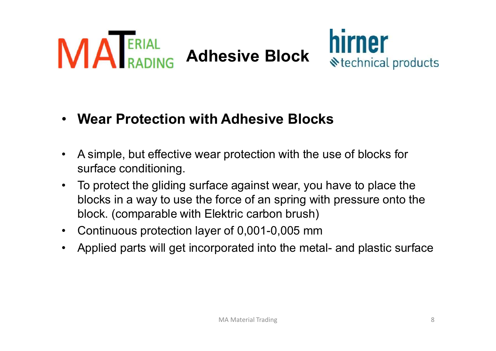



- 
- **MANUSE Adhesive Block MINDET**<br>
 Wear Protection with Adhesive Blocks<br>
 A simple, but effective wear protection with the use of blocks for<br>
surface conditioning.<br>
 To protect the gliding surface against wear, you have t • Wear Protection with Adhesive Block<br>• Wear Protection with Adhesive Blocks<br>• A simple, but effective wear protection with the use of blocks for<br>• To protect the gliding surface against wear, you have to place the<br>• block **EXECUTE CONSTRESS IN A WARK IN THE FORMULTER IN A SHOW WEAT Protection with Adhesive Blocks**<br>
A simple, but effective wear protection with the use of blocks for<br>
surface conditioning.<br>
To protect the gliding surface again **Example State of the Control of State Products**<br> **Wear Protection with Adhesive Blocks**<br>
A simple, but effective wear protection with the use of blocks for<br>
surface conditioning.<br>
To protect the gliding surface against we • Wear Protection with Adhesive Blocks<br>
• A simple, but effective wear protection with the use of blocks for<br>
surface conditioning.<br>
• To protect the gliding surface against wear, you have to place the<br>
blocks in a way to • Wear Protection with Adhesive Blocks<br>
• A simple, but effective wear protection with the use of blocks for<br>
surface conditioning.<br>
• To protect the gliding surface against wear, you have to place the<br>
blocks in a way to
	-
	-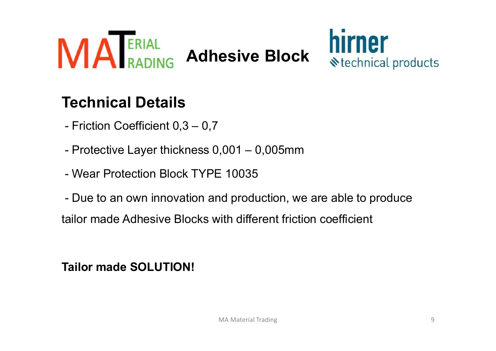



# Technical Details

- 
- 
- 

FRIAL<br>
Technical Details<br>
Friction Coefficient 0,3 – 0,7<br>
- Protective Layer thickness 0,001 – 0,005mm<br>
- Wear Protection Block TYPE 10035<br>
- Due to an own innovation and production, we are able to Friction Coefficient 0,3 - 0,7<br>
- Priction Coefficient 0,3 - 0,7<br>
- Protective Layer thickness 0,001 - 0,005mm<br>
- Wear Protection Block TYPE 10035<br>
- Due to an own innovation and production, we are able to produce<br>
ailor m Technical Details<br>
- Friction Coefficient 0,3 – 0,7<br>
- Protective Layer thickness 0,001 – 0,005mm<br>
- Wear Protection Block TYPE 10035<br>
- Due to an own innovation and production, we are able to produce<br>
tailor made Adhesive - Friction Coefficient 0,3 – 0,7<br>
- Protective Layer thickness 0,001 – 0,005mm<br>
- Wear Protection Block TYPE 10035<br>
- Due to an own innovation and production, we are<br>
tailor made Adhesive Blocks with different friction of<br>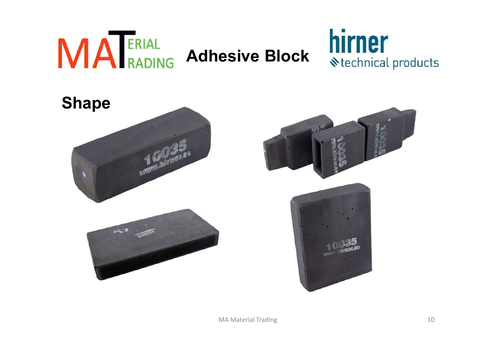

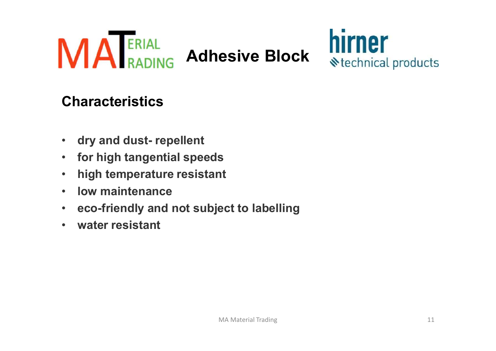



## Characteristics

- 
- 
- 
- 
- eco-friendly and not subject to labelling Characteristics<br>• dry and dust- repellent<br>• for high tangential speeds<br>• high temperature resistant<br>• low maintenance<br>• eco-friendly and not subject to labelling<br>• water resistant
-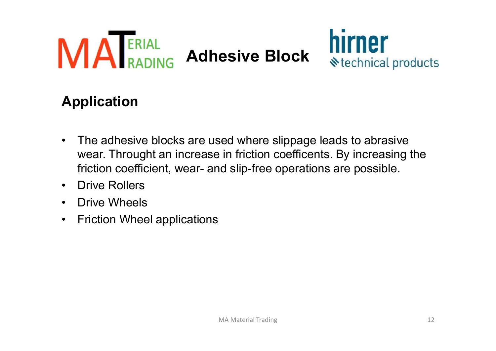



## Application

- **ANDRAN ADERIAL Adhesive Block**<br>**Application**<br>• The adhesive blocks are used where slippage leads to abrasive<br>wear. Throught an increase in friction coefficents. By increasing the<br>friction coefficient, wear- and slip-free **ERIAL RADING Adhesive Block MITTIPT**<br> **CONFIDENTIAL Adhesive Block** Stechnical products<br>
The adhesive blocks are used where slippage leads to abrasive<br>
Wear. Throught an increase in friction coefficents. By increasing the FRIAL<br> **Adhesive Block**<br>
Sechnical products<br>
pplication<br>
The adhesive blocks are used where slippage leads to abrasive<br>
wear. Throught an increase in friction coefficents. By increasing the<br>
prive Rollers<br>
Drive Wheels **MANING Adhesive E**<br> **Application**<br>
• The adhesive blocks are used where<br>
wear. Throught an increase in friction<br>
friction coefficient, wear- and slip-free<br>
• Drive Rollers<br>
• Priction Wheel applications **Application**<br>
• The adhesive blocks are used where<br>
• The adhesive blocks are used where<br>
• wear. Throught an increase in friction<br>
• friction coefficient, wear- and slip-free<br>
• Drive Wheels<br>
• Friction Wheel application **Application**<br>• The adhesive blocks are used where slippag<br>wear. Throught an increase in friction coeffice<br>friction coefficient, wear- and slip-free operat<br>• Drive Rollers<br>• Friction Wheel applications
- 
- 
-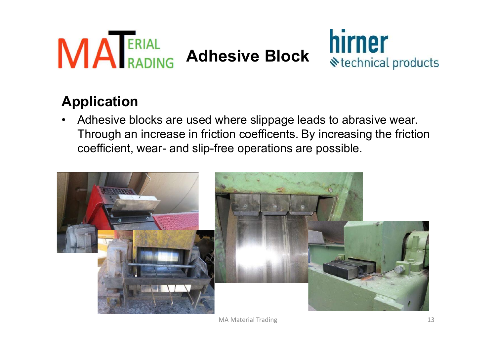



# Application

**ANDRAGERIAL Adhesive Block Stechnical products**<br> **Application**<br>
• Adhesive blocks are used where slippage leads to abrasive wear.<br>
Through an increase in friction coefficents. By increasing the friction<br>
coefficient, wear Through an increase in friction coefficents. By increasing the friction **CRIAL RADING Adhesive Block MITNET**<br> **CONFIDENTIFY Adhesive Adhesive Block** Stechnical production<br>
Adhesive blocks are used where slippage leads to abrasive wear<br>
Through an increase in friction coefficients. By increasin



MA Material Trading 13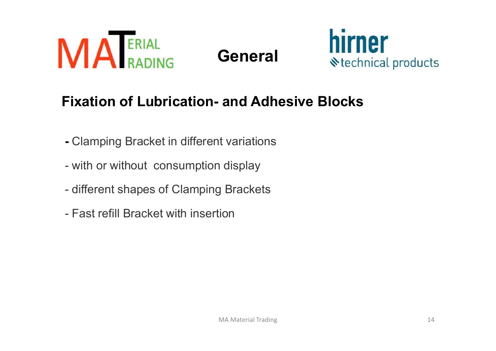





# **MANUAL Seneral Seneral MITNET**<br>
Fixation of Lubrication- and Adhesive Blocks<br>
- Clamping Bracket in different variations<br>
- with or without consumption display<br>
- different shapes of Clamping Brackets<br>
- Fast refill Brack **Exation of Lubrication- and Adhesive Blocks**<br>- Clamping Bracket in different variations<br>- with or without consumption display<br>- different shapes of Clamping Brackets<br>- Fast refill Bracket with insertion

- 
- 
- 
-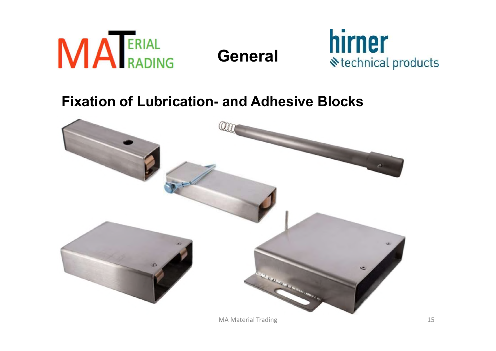





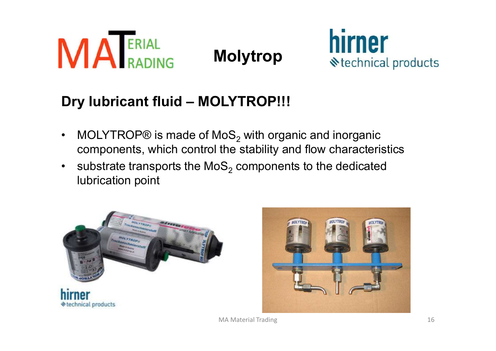



- **ARADING**<br> **CONTROPS** MOLYTROP!!!<br>
 MOLYTROP® is made of MoS<sub>2</sub> with organic and inorganic<br>
 Substrate transports the MoS<sub>2</sub> components to the dedicated<br>
 Substrate transports the MoS<sub>2</sub> components to the dedicated components, which control the stability and flow characteristics
- **ERIAL Molytrop**<br> **CHANG MOLYTROP SERVIDE SERVIDE SERVIDE SERVIDE SERVIDE SUBSET ON MOLYTROP SIGNAL CONTROP SUBSET ON MORE SUBSET ON SUBSTRATE TRANSPORT SUBSTRATE TRANSPORT SUBSTRATE TRANSPORT SUBSTRATE TRANSPORT SUBSTRATE** substrate transports the  $MOS<sub>2</sub>$  components to the dedicated lubrication point



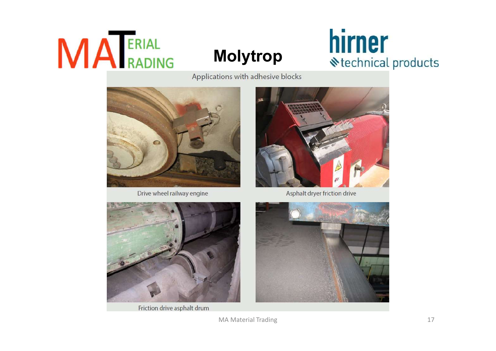# MA ERIAL

# **Molytrop hirner**<br> **Molytrop Rechnical products**

Applications with adhesive blocks



Drive wheel railway engine



Asphalt dryer friction drive



Friction drive asphalt drum

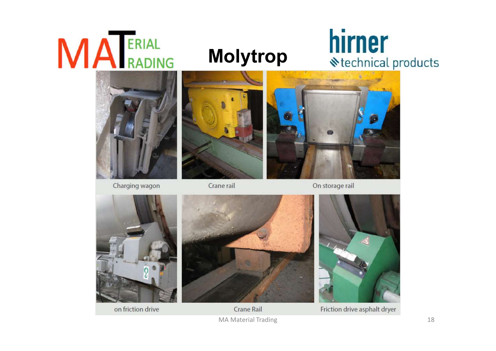# **MA** ERIAL

# **Molytrop hirner**<br> **Molytrop Rechnical products**



Charging wagon



Crane rail



On storage rail





Friction drive asphalt dryer

on friction drive

Crane Rail MA Material Trading 18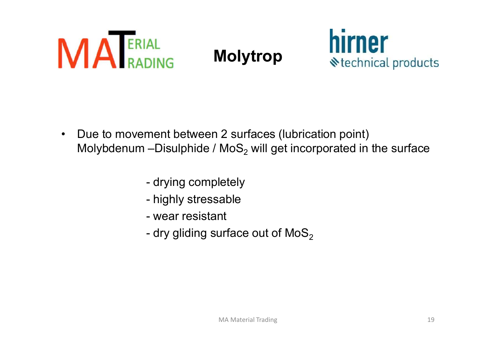



- **A ERIAL**<br>• Due to movement between 2 surfaces (lubrication point)<br>• Due to movement between 2 surfaces (lubrication point)<br>• Molybdenum –Disulphide / MoS<sub>2</sub> will get incorporated in the surface Molytrop<br>
Molytrop<br>
Due to movement between 2 surfaces (lubrication point)<br>
Molybdenum –Disulphide / MoS<sub>2</sub> will get incorporated in the surface<br>
- drying completely AL<br>
DING Molytrop<br>
ment between 2 surfaces (lubrication point)<br>
-Disulphide / MoS<sub>2</sub> will get incorporated in th<br>
- drying completely<br>
- highly stressable<br>
- wear resistant  $M$ olytrop<br>
ment between 2 surfaces (lubrication point)<br>
-Disulphide / MoS<sub>2</sub> will get incorporated in th<br>
- drying completely<br>
- highly stressable<br>
- wear resistant<br>
- dry gliding surface out of MoS<sub>2</sub> -<br>
ment between 2 surfaces (lubrication point)<br>
-Disulphide / MoS<sub>2</sub> will get incorporated in t<br>
- drying completely<br>
- highly stressable<br>
- wear resistant<br>
- dry gliding surface out of MoS<sub>2</sub> ment between 2 surfaces (lubrication point)<br>-Disulphide / MoS<sub>2</sub> will get incorporated in the surface<br>- drying completely<br>- highly stressable<br>- wear resistant<br>- dry gliding surface out of MoS<sub>2</sub>
	-
	-
	-
	-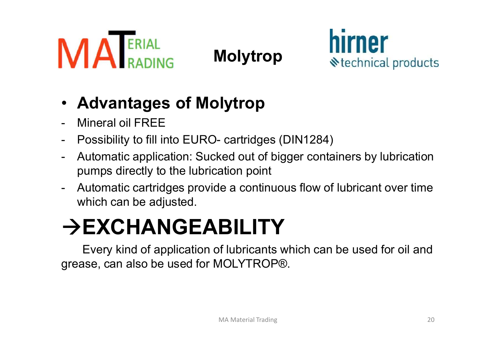



- 
- 
- **ANDRADING**<br>
 **Advantages of Molytrop**<br>
 **Advantages of Molytrop**<br>
 Mineral oil FREE<br>
 Possibility to fill into EURO- cartridges (DIN1284)<br>
 Automatic application: Sucked out of bigger containers by lubrication<br>
pumps **CRIAL Molytrop Mirmer**<br> **- Advantages of Molytrop**<br>
- Mineral oil FREE<br>
- Possibility to fill into EURO- cartridges (DIN1284)<br>
- Automatic application: Sucked out of bigger containers by lubrication<br>
- Automatic cartridge **PUMPS MONATERIAL MONATION SEARCE SEARCH AND AND AND MONATION CONTROLLY AND MONATION SEARCH AND MONATION MONET POSSIbility to fill into EURO- cartridges (DIN1284)<br>Automatic application: Sucked out of bigger containers by l MANU RADING**<br>
- **Advantages of Molytrop**<br>
- Mineral oil FREE<br>
- Possibility to fill into EURO- cartridges (DIN1284)<br>
- Automatic application: Sucked out of bigger containers by lubrication<br>
- Automatic cartridges provide FREE<br>
FREE Possibility to fill into EURO- cartridges (DIN1284)<br>
Automatic application: Sucked out of bigger containers by lubric<br>
pumps directly to the lubrication point<br>
FREE ABILITY<br>
FREE ABILITY<br>
Every kind of applicat
- which can be adjusted.

# $\rightarrow$ EXCHANGEABILITY

Every kind of application of lubricants which can be used for oil and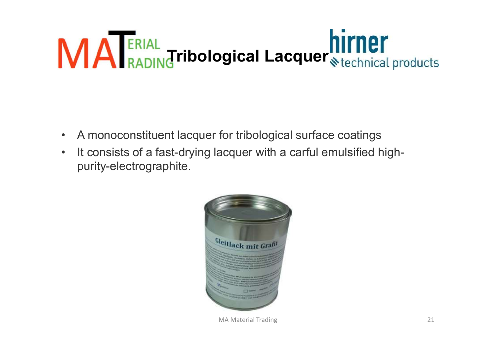# Tribological Lacquer<sub>Stechnical products</sub> **MA ERIAL**<br>• A monoconstituent lacquer for tribological surface coatings<br>• It consists of a fast-drying lacquer with a carful emulsified high-<br>purity-electrographite. **A FRIAL Tribological Lacquer Stechnical produced**<br>• A monoconstituent lacquer for tribological surface coatings<br>• It consists of a fast-drying lacquer with a carful emulsified high-<br>purity-electrographite.

- 
- purity-electrographite.



MA Material Trading 21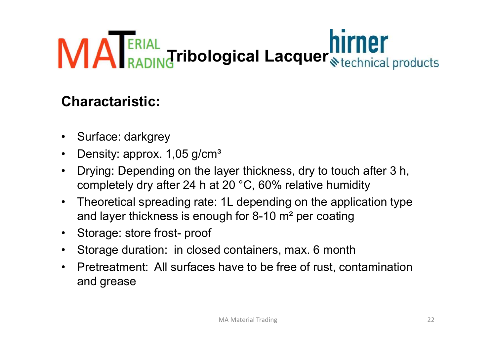# Tribological Lacquer<sub>Stechnical products</sub> **MA ERIAL<br>Charactaristic:**<br>• Surface: darkgrey<br>• Density: approx. 1,05 g/cm<sup>3</sup><br>• Drying: Depending on the layer thickr **MAPERIAL<br>
Charactaristic:**<br>
• Surface: darkgrey<br>
• Density: approx. 1,05 g/cm<sup>3</sup><br>
• Drying: Depending on the layer thicknes<br>
completely dry after 24 h at 20 °C, 60% **ERIAL**<br> **Charactaristic:**<br>
• Surface: darkgrey<br>
• Density: approx. 1,05 g/cm<sup>3</sup><br>
• Drying: Depending on the layer thickness, dry to touch after 3 h,<br>
• Completely dry after 24 h at 20 °C, 60% relative humidity<br>
• Theoreti

## Charactaristic:

- 
- 
- completely dry after 24 h at 20 °C, 60% relative humidity **Charactaristic:**<br>
• Surface: darkgrey<br>
• Density: approx. 1,05 g/cm<sup>3</sup><br>
• Drying: Depending on the layer thickness, dry to touch after 3 h,<br>
completely dry after 24 h at 20 °C, 60% relative humidity<br>
• Theoretical spreadi **Charactaristic:**<br>
• Surface: darkgrey<br>
• Density: approx. 1,05 g/cm<sup>3</sup><br>
• Drying: Depending on the layer thickness, dry to touch aft<br>
completely dry after 24 h at 20 °C, 60% relative humidity<br>
• Theoretical spreading rat
- and layer thickness is enough for 8-10 m² per coating
- 
- 
- **Charactaristic:**<br>
 Surface: darkgrey<br>
 Density: approx. 1,05 g/cm<sup>3</sup><br>
 Drying: Depending on the layer thickness, dry to touch after 3 h,<br>
completely dry after 24 h at 20 °C, 60% relative humidity<br>
 Theoretical spreadi • Surface: darkgrey<br>
• Density: approx. 1,05 g/cm<sup>3</sup><br>
• Drying: Depending on the layer thickness, dry to touch after 3 h,<br>
completely dry after 24 h at 20 °C, 60% relative humidity<br>
• Theoretical spreading rate: 1L depend and grease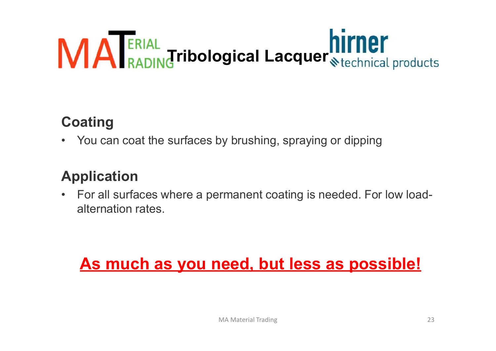# Tribological Lacquer<sub>Stechnical products</sub> **VIA ERIAL**<br>**Coating**<br>• You can coat the surfaces by brushing, spraying or dipping<br>**Application Coating**<br>• You can coat the surfaces by brushing, spraying or dipping<br>**Application**<br>• For all surfaces where a permanent coating is needed. For low load-<br>alternation rates.

# **Coating**

# Application

alternation rates. ating<br>You can coat the surfaces by brushing, spraying or dipping<br>plication<br>For all surfaces where a permanent coating is needed. For low load-<br>alternation rates.<br>**As much as you need, but less as possible!**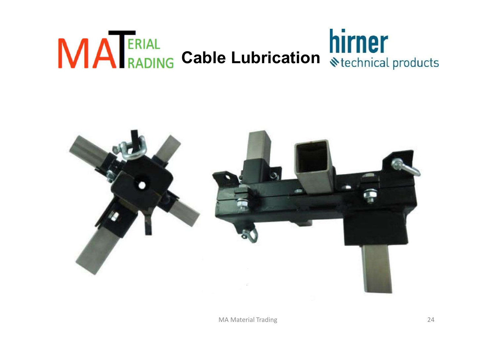# **MA** ERIAL Cable Lubrication Nirmer

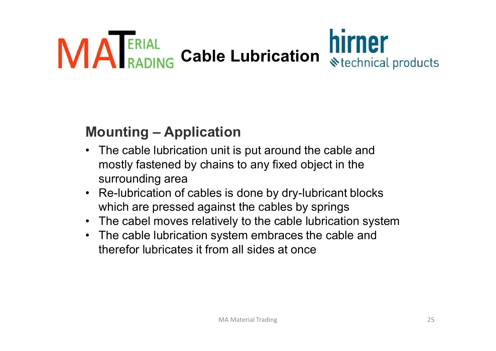

- mostly fastened by chains to any fixed object in the surrounding area **ERIAL**<br> **ERIAL**<br> **ERIAL**<br> **RADING** Cable Lubrication<br>
• The cable lubrication unit is put around the cable and<br>
mostly fastened by chains to any fixed object in the<br>
• Re-lubrication of cables is done by dry-lubricant blo **Mounting – Application**<br>
• The cable lubrication unit is put around the cable and<br>
mostly fastened by chains to any fixed object in the<br>
surrounding area<br>
• Re-lubrication of cables is done by dry-lubricant blocks<br>
which **Mounting – Application**<br>• The cable lubrication unit is put around the cable and<br>mostly fastened by chains to any fixed object in the<br>surrounding area<br>• Re-lubrication of cables is done by dry-lubricant blocks<br>which are p
- which are pressed against the cables by springs
- 
- therefor lubricates it from all sides at once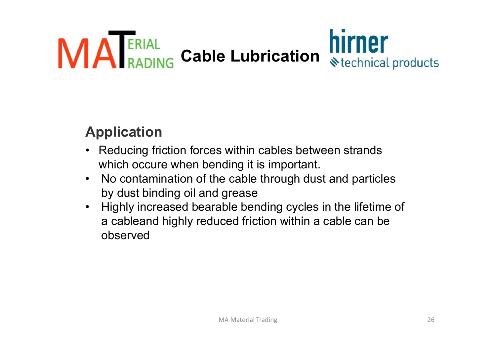

# Application

- 
- by dust binding oil and grease
- **Application**<br>• Reducing friction forces within cables between strands<br>• Neducing friction forces within cables between strands<br>• No contamination of the cable through dust and particles<br>• Highly increased bearable bendi **pplication**<br>Reducing friction forces within cables between strands<br>which occure when bending it is important.<br>No contamination of the cable through dust and particles<br>by dust binding oil and grease<br>Highly increased bearab observed